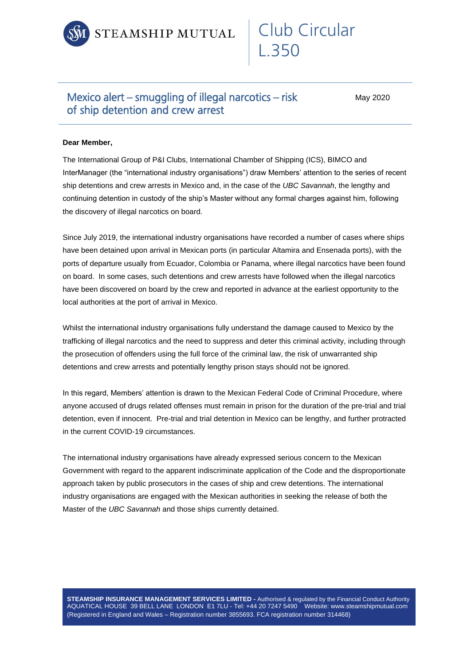

## Club Circular L.350

## Mexico alert – smuggling of illegal narcotics – risk of ship detention and crew arrest

May 2020

## **Dear Member,**

The International Group of P&I Clubs, International Chamber of Shipping (ICS), BIMCO and InterManager (the "international industry organisations") draw Members' attention to the series of recent ship detentions and crew arrests in Mexico and, in the case of the *UBC Savannah*, the lengthy and continuing detention in custody of the ship's Master without any formal charges against him, following the discovery of illegal narcotics on board.

Since July 2019, the international industry organisations have recorded a number of cases where ships have been detained upon arrival in Mexican ports (in particular Altamira and Ensenada ports), with the ports of departure usually from Ecuador, Colombia or Panama, where illegal narcotics have been found on board. In some cases, such detentions and crew arrests have followed when the illegal narcotics have been discovered on board by the crew and reported in advance at the earliest opportunity to the local authorities at the port of arrival in Mexico.

Whilst the international industry organisations fully understand the damage caused to Mexico by the trafficking of illegal narcotics and the need to suppress and deter this criminal activity, including through the prosecution of offenders using the full force of the criminal law, the risk of unwarranted ship detentions and crew arrests and potentially lengthy prison stays should not be ignored.

In this regard, Members' attention is drawn to the Mexican Federal Code of Criminal Procedure, where anyone accused of drugs related offenses must remain in prison for the duration of the pre-trial and trial detention, even if innocent. Pre-trial and trial detention in Mexico can be lengthy, and further protracted in the current COVID-19 circumstances.

The international industry organisations have already expressed serious concern to the Mexican Government with regard to the apparent indiscriminate application of the Code and the disproportionate approach taken by public prosecutors in the cases of ship and crew detentions. The international industry organisations are engaged with the Mexican authorities in seeking the release of both the Master of the *UBC Savannah* and those ships currently detained.

**STEAMSHIP INSURANCE MANAGEMENT SERVICES LIMITED -** Authorised & regulated by the Financial Conduct Authority AQUATICAL HOUSE 39 BELL LANE LONDON E1 7LU - Tel: +44 20 7247 5490 Website: www.steamshipmutual.com (Registered in England and Wales – Registration number 3855693. FCA registration number 314468)